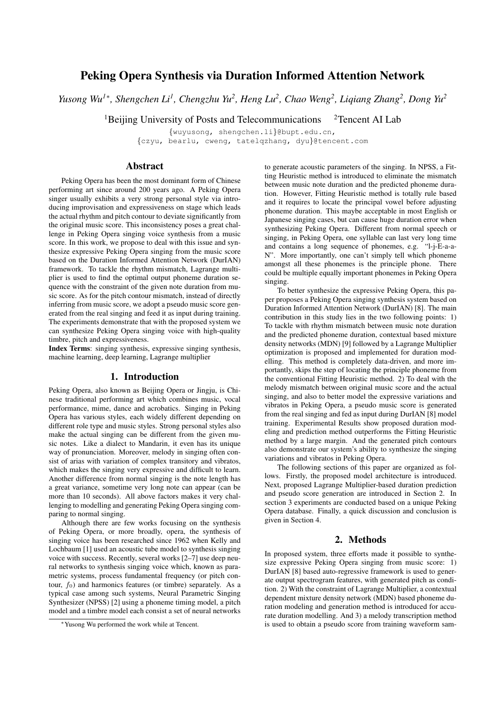# Peking Opera Synthesis via Duration Informed Attention Network

*Yusong Wu<sup>1</sup>*<sup>∗</sup> *, Shengchen Li<sup>1</sup> , Chengzhu Yu<sup>2</sup> , Heng Lu<sup>2</sup> , Chao Weng<sup>2</sup> , Liqiang Zhang<sup>2</sup> , Dong Yu<sup>2</sup>*

 $1$ Beijing University of Posts and Telecommunications  $2$ Tencent AI Lab

{wuyusong, shengchen.li}@bupt.edu.cn, {czyu, bearlu, cweng, tatelqzhang, dyu}@tencent.com

## Abstract

Peking Opera has been the most dominant form of Chinese performing art since around 200 years ago. A Peking Opera singer usually exhibits a very strong personal style via introducing improvisation and expressiveness on stage which leads the actual rhythm and pitch contour to deviate significantly from the original music score. This inconsistency poses a great challenge in Peking Opera singing voice synthesis from a music score. In this work, we propose to deal with this issue and synthesize expressive Peking Opera singing from the music score based on the Duration Informed Attention Network (DurIAN) framework. To tackle the rhythm mismatch, Lagrange multiplier is used to find the optimal output phoneme duration sequence with the constraint of the given note duration from music score. As for the pitch contour mismatch, instead of directly inferring from music score, we adopt a pseudo music score generated from the real singing and feed it as input during training. The experiments demonstrate that with the proposed system we can synthesize Peking Opera singing voice with high-quality timbre, pitch and expressiveness.

Index Terms: singing synthesis, expressive singing synthesis, machine learning, deep learning, Lagrange multiplier

## 1. Introduction

Peking Opera, also known as Beijing Opera or Jingju, is Chinese traditional performing art which combines music, vocal performance, mime, dance and acrobatics. Singing in Peking Opera has various styles, each widely different depending on different role type and music styles. Strong personal styles also make the actual singing can be different from the given music notes. Like a dialect to Mandarin, it even has its unique way of pronunciation. Moreover, melody in singing often consist of arias with variation of complex transitory and vibratos, which makes the singing very expressive and difficult to learn. Another difference from normal singing is the note length has a great variance, sometime very long note can appear (can be more than 10 seconds). All above factors makes it very challenging to modelling and generating Peking Opera singing comparing to normal singing.

Although there are few works focusing on the synthesis of Peking Opera, or more broadly, opera, the synthesis of singing voice has been researched since 1962 when Kelly and Lochbaum [1] used an acoustic tube model to synthesis singing voice with success. Recently, several works [2–7] use deep neural networks to synthesis singing voice which, known as parametric systems, process fundamental frequency (or pitch contour,  $f_0$ ) and harmonics features (or timbre) separately. As a typical case among such systems, Neural Parametric Singing Synthesizer (NPSS) [2] using a phoneme timing model, a pitch model and a timbre model each consist a set of neural networks

to generate acoustic parameters of the singing. In NPSS, a Fitting Heuristic method is introduced to eliminate the mismatch between music note duration and the predicted phoneme duration. However, Fitting Heuristic method is totally rule based and it requires to locate the principal vowel before adjusting phoneme duration. This maybe acceptable in most English or Japanese singing cases, but can cause huge duration error when synthesizing Peking Opera. Different from normal speech or singing, in Peking Opera, one syllable can last very long time and contains a long sequence of phonemes, e.g. "l-j-E-a-a-N". More importantly, one can't simply tell which phoneme amongst all these phonemes is the principle phone. There could be multiple equally important phonemes in Peking Opera singing.

To better synthesize the expressive Peking Opera, this paper proposes a Peking Opera singing synthesis system based on Duration Informed Attention Network (DurIAN) [8]. The main contribution in this study lies in the two following points: 1) To tackle with rhythm mismatch between music note duration and the predicted phoneme duration, contextual based mixture density networks (MDN) [9] followed by a Lagrange Multiplier optimization is proposed and implemented for duration modelling. This method is completely data-driven, and more importantly, skips the step of locating the principle phoneme from the conventional Fitting Heuristic method. 2) To deal with the melody mismatch between original music score and the actual singing, and also to better model the expressive variations and vibratos in Peking Opera, a pseudo music score is generated from the real singing and fed as input during DurIAN [8] model training. Experimental Results show proposed duration modeling and prediction method outperforms the Fitting Heuristic method by a large margin. And the generated pitch contours also demonstrate our system's ability to synthesize the singing variations and vibratos in Peking Opera.

The following sections of this paper are organized as follows. Firstly, the proposed model architecture is introduced. Next, proposed Lagrange Multiplier-based duration prediction and pseudo score generation are introduced in Section 2. In section 3 experiments are conducted based on a unique Peking Opera database. Finally, a quick discussion and conclusion is given in Section 4.

## 2. Methods

In proposed system, three efforts made it possible to synthesize expressive Peking Opera singing from music score: 1) DurIAN [8] based auto-regressive framework is used to generate output spectrogram features, with generated pitch as condition. 2) With the constraint of Lagrange Multiplier, a contextual dependent mixture density network (MDN) based phoneme duration modeling and generation method is introduced for accurate duration modelling. And 3) a melody transcription method is used to obtain a pseudo score from training waveform sam-

<sup>∗</sup>Yusong Wu performed the work while at Tencent.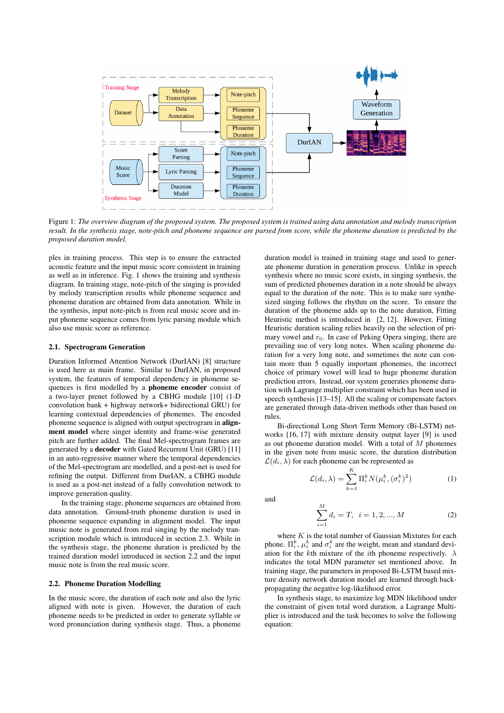

Figure 1: *The overview diagram of the proposed system. The proposed system is trained using data annotation and melody transcription result. In the synthesis stage, note-pitch and phoneme sequence are parsed from score, while the phoneme duration is predicted by the proposed duration model.*

ples in training process. This step is to ensure the extracted acoustic feature and the input music score consistent in training as well as in inference. Fig. 1 shows the training and synthesis diagram. In training stage, note-pitch of the singing is provided by melody transcription results while phoneme sequence and phoneme duration are obtained from data annotation. While in the synthesis, input note-pitch is from real music score and input phoneme sequence comes from lyric parsing module which also use music score as reference.

#### 2.1. Spectrogram Generation

Duration Informed Attention Network (DurIAN) [8] structure is used here as main frame. Similar to DurIAN, in proposed system, the features of temporal dependency in phoneme sequences is first modelled by a **phoneme encoder** consist of a two-layer prenet followed by a CBHG module [10] (1-D convolution bank + highway network+ bidirectional GRU) for learning contextual dependencies of phonemes. The encoded phoneme sequence is aligned with output spectrogram in alignment model where singer identity and frame-wise generated pitch are further added. The final Mel-spectrogram frames are generated by a decoder with Gated Recurrent Unit (GRU) [11] in an auto-regressive manner where the temporal dependencies of the Mel-spectrogram are modelled, and a post-net is used for refining the output. Different from DurIAN, a CBHG module is used as a post-net instead of a fully convolution network to improve generation quality.

In the training stage, phoneme sequences are obtained from data annotation. Ground-truth phoneme duration is used in phoneme sequence expanding in alignment model. The input music note is generated from real singing by the melody transcription module which is introduced in section 2.3. While in the synthesis stage, the phoneme duration is predicted by the trained duration model introduced in section 2.2 and the input music note is from the real music score.

#### 2.2. Phoneme Duration Modelling

In the music score, the duration of each note and also the lyric aligned with note is given. However, the duration of each phoneme needs to be predicted in order to generate syllable or word pronunciation during synthesis stage. Thus, a phoneme

duration model is trained in training stage and used to generate phoneme duration in generation process. Unlike in speech synthesis where no music score exists, in singing synthesis, the sum of predicted phonemes duration in a note should be always equal to the duration of the note. This is to make sure synthesized singing follows the rhythm on the score. To ensure the duration of the phoneme adds up to the note duration, Fitting Heuristic method is introduced in [2, 12]. However, Fitting Heuristic duration scaling relies heavily on the selection of primary vowel and  $r_0$ . In case of Peking Opera singing, there are prevailing use of very long notes. When scaling phoneme duration for a very long note, and sometimes the note can contain more than 5 equally important phonemes, the incorrect choice of primary vowel will lead to huge phoneme duration prediction errors. Instead, our system generates phoneme duration with Lagrange multiplier constraint which has been used in speech synthesis [13–15]. All the scaling or compensate factors are generated through data-driven methods other than based on rules.

Bi-directional Long Short Term Memory (Bi-LSTM) networks [16, 17] with mixture density output layer [9] is used as out phoneme duration model. With a total of M phonemes in the given note from music score, the duration distribution  $\mathcal{L}(d_i, \lambda)$  for each phoneme can be represented as

$$
\mathcal{L}(d_i, \lambda) = \sum_{k=1}^{K} \Pi_i^k N(\mu_i^k, (\sigma_i^k)^2)
$$
 (1)

and

$$
\sum_{i=1}^{M} d_i = T, \quad i = 1, 2, ..., M
$$
 (2)

where  $K$  is the total number of Gaussian Mixtures for each phone.  $\Pi_i^k$ ,  $\mu_i^k$  and  $\sigma_i^k$  are the weight, mean and standard deviation for the kth mixture of the *i*th phoneme respectively.  $\lambda$ indicates the total MDN parameter set mentioned above. In training stage, the parameters in proposed Bi-LSTM based mixture density network duration model are learned through backpropagating the negative log-likelihood error.

In synthesis stage, to maximize log MDN likelihood under the constraint of given total word duration, a Lagrange Multiplier is introduced and the task becomes to solve the following equation: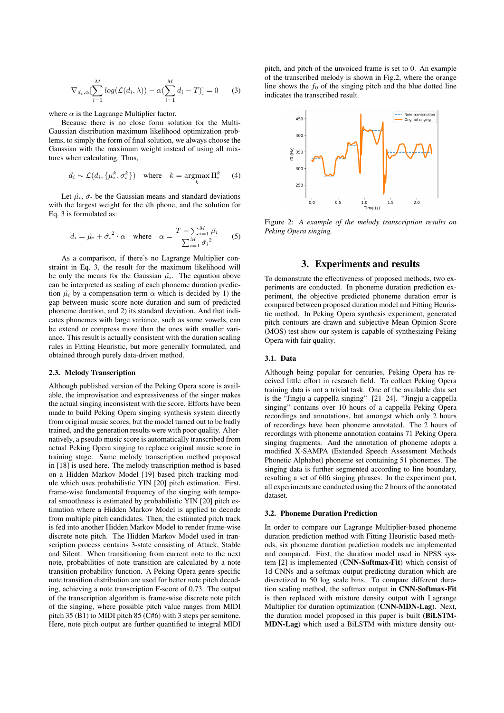$$
\nabla_{d_i,\alpha} \left[ \sum_{i=1}^M \log(\mathcal{L}(d_i, \lambda)) - \alpha (\sum_{i=1}^M d_i - T) \right] = 0 \tag{3}
$$

where  $\alpha$  is the Lagrange Multiplier factor.

Because there is no close form solution for the Multi-Gaussian distribution maximum likelihood optimization problems, to simply the form of final solution, we always choose the Gaussian with the maximum weight instead of using all mixtures when calculating. Thus,

$$
d_i \sim \mathcal{L}(d_i, \{\mu_i^k, \sigma_i^k\}) \quad \text{where} \quad k = \operatorname*{argmax}_{k} \Pi_i^k \tag{4}
$$

Let  $\hat{\mu}_i$ ,  $\hat{\sigma}_i$  be the Gaussian means and standard deviations with the largest weight for the ith phone, and the solution for Eq. 3 is formulated as:

$$
d_i = \hat{\mu_i} + \hat{\sigma_i}^2 \cdot \alpha \quad \text{where} \quad \alpha = \frac{T - \sum_{i=1}^{M} \hat{\mu_i}}{\sum_{i=1}^{M} \hat{\sigma_i}^2} \qquad (5)
$$

As a comparison, if there's no Lagrange Multiplier constraint in Eq. 3, the result for the maximum likelihood will be only the means for the Gaussian  $\hat{\mu}_i$ . The equation above can be interpreted as scaling of each phoneme duration prediction  $\hat{\mu}_i$  by a compensation term  $\alpha$  which is decided by 1) the gap between music score note duration and sum of predicted phoneme duration, and 2) its standard deviation. And that indicates phonemes with large variance, such as some vowels, can be extend or compress more than the ones with smaller variance. This result is actually consistent with the duration scaling rules in Fitting Heuristic, but more generally formulated, and obtained through purely data-driven method.

#### 2.3. Melody Transcription

Although published version of the Peking Opera score is available, the improvisation and expressiveness of the singer makes the actual singing inconsistent with the score. Efforts have been made to build Peking Opera singing synthesis system directly from original music scores, but the model turned out to be badly trained, and the generation results were with poor quality. Alternatively, a pseudo music score is automatically transcribed from actual Peking Opera singing to replace original music score in training stage. Same melody transcription method proposed in [18] is used here. The melody transcription method is based on a Hidden Markov Model [19] based pitch tracking module which uses probabilistic YIN [20] pitch estimation. First, frame-wise fundamental frequency of the singing with temporal smoothness is estimated by probabilistic YIN [20] pitch estimation where a Hidden Markov Model is applied to decode from multiple pitch candidates. Then, the estimated pitch track is fed into another Hidden Markov Model to render frame-wise discrete note pitch. The Hidden Markov Model used in transcription process contains 3-state consisting of Attack, Stable and Silent. When transitioning from current note to the next note, probabilities of note transition are calculated by a note transition probability function. A Peking Opera genre-specific note transition distribution are used for better note pitch decoding, achieving a note transcription F-score of 0.73. The output of the transcription algorithm is frame-wise discrete note pitch of the singing, where possible pitch value ranges from MIDI pitch 35 (B1) to MIDI pitch 85 (C#6) with 3 steps per semitone. Here, note pitch output are further quantified to integral MIDI pitch, and pitch of the unvoiced frame is set to 0. An example of the transcribed melody is shown in Fig.2, where the orange line shows the  $f_0$  of the singing pitch and the blue dotted line indicates the transcribed result.



Figure 2: *A example of the melody transcription results on Peking Opera singing.*

## 3. Experiments and results

To demonstrate the effectiveness of proposed methods, two experiments are conducted. In phoneme duration prediction experiment, the objective predicted phoneme duration error is compared between proposed duration model and Fitting Heuristic method. In Peking Opera synthesis experiment, generated pitch contours are drawn and subjective Mean Opinion Score (MOS) test show our system is capable of synthesizing Peking Opera with fair quality.

#### 3.1. Data

Although being popular for centuries, Peking Opera has received little effort in research field. To collect Peking Opera training data is not a trivial task. One of the available data set is the "Jingju a cappella singing" [21–24]. "Jingju a cappella singing" contains over 10 hours of a cappella Peking Opera recordings and annotations, but amongst which only 2 hours of recordings have been phoneme annotated. The 2 hours of recordings with phoneme annotation contains 71 Peking Opera singing fragments. And the annotation of phoneme adopts a modified X-SAMPA (Extended Speech Assessment Methods Phonetic Alphabet) phoneme set containing 51 phonemes. The singing data is further segmented according to line boundary, resulting a set of 606 singing phrases. In the experiment part, all experiments are conducted using the 2 hours of the annotated dataset.

#### 3.2. Phoneme Duration Prediction

In order to compare our Lagrange Multiplier-based phoneme duration prediction method with Fitting Heuristic based methods, six phoneme duration prediction models are implemented and compared. First, the duration model used in NPSS system [2] is implemented (CNN-Softmax-Fit) which consist of 1d-CNNs and a softmax output predicting duration which are discretized to 50 log scale bins. To compare different duration scaling method, the softmax output in CNN-Softmax-Fit is then replaced with mixture density output with Lagrange Multiplier for duration optimization (CNN-MDN-Lag). Next, the duration model proposed in this paper is built (BiLSTM-MDN-Lag) which used a BiLSTM with mixture density out-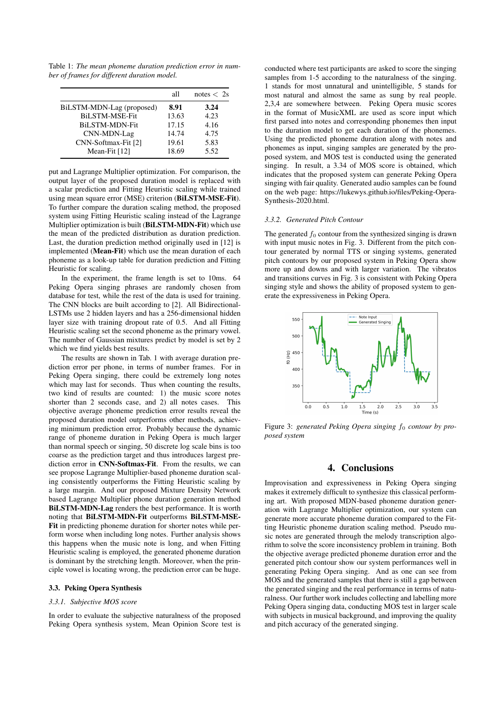Table 1: *The mean phoneme duration prediction error in number of frames for different duration model.*

|                           | all   | notes $\langle 2s$ |
|---------------------------|-------|--------------------|
| BiLSTM-MDN-Lag (proposed) | 8.91  | 3.24               |
| <b>BiLSTM-MSE-Fit</b>     | 13.63 | 4.23               |
| <b>BiLSTM-MDN-Fit</b>     | 17.15 | 4.16               |
| CNN-MDN-Lag               | 14.74 | 4.75               |
| CNN-Softmax-Fit [2]       | 19.61 | 5.83               |
| Mean-Fit [12]             | 18.69 | 5.52               |

put and Lagrange Multiplier optimization. For comparison, the output layer of the proposed duration model is replaced with a scalar prediction and Fitting Heuristic scaling while trained using mean square error (MSE) criterion (BiLSTM-MSE-Fit). To further compare the duration scaling method, the proposed system using Fitting Heuristic scaling instead of the Lagrange Multiplier optimization is built (BiLSTM-MDN-Fit) which use the mean of the predicted distribution as duration prediction. Last, the duration prediction method originally used in [12] is implemented (Mean-Fit) which use the mean duration of each phoneme as a look-up table for duration prediction and Fitting Heuristic for scaling.

In the experiment, the frame length is set to 10ms. 64 Peking Opera singing phrases are randomly chosen from database for test, while the rest of the data is used for training. The CNN blocks are built according to [2]. All Bidirectional-LSTMs use 2 hidden layers and has a 256-dimensional hidden layer size with training dropout rate of 0.5. And all Fitting Heuristic scaling set the second phoneme as the primary vowel. The number of Gaussian mixtures predict by model is set by 2 which we find yields best results.

The results are shown in Tab. 1 with average duration prediction error per phone, in terms of number frames. For in Peking Opera singing, there could be extremely long notes which may last for seconds. Thus when counting the results, two kind of results are counted: 1) the music score notes shorter than 2 seconds case, and 2) all notes cases. This objective average phoneme prediction error results reveal the proposed duration model outperforms other methods, achieving minimum prediction error. Probably because the dynamic range of phoneme duration in Peking Opera is much larger than normal speech or singing, 50 discrete log scale bins is too coarse as the prediction target and thus introduces largest prediction error in CNN-Softmax-Fit. From the results, we can see propose Lagrange Multiplier-based phoneme duration scaling consistently outperforms the Fitting Heuristic scaling by a large margin. And our proposed Mixture Density Network based Lagrange Multiplier phone duration generation method BiLSTM-MDN-Lag renders the best performance. It is worth noting that BiLSTM-MDN-Fit outperforms BiLSTM-MSE-Fit in predicting phoneme duration for shorter notes while perform worse when including long notes. Further analysis shows this happens when the music note is long, and when Fitting Heuristic scaling is employed, the generated phoneme duration is dominant by the stretching length. Moreover, when the principle vowel is locating wrong, the prediction error can be huge.

### 3.3. Peking Opera Synthesis

## *3.3.1. Subjective MOS score*

In order to evaluate the subjective naturalness of the proposed Peking Opera synthesis system, Mean Opinion Score test is conducted where test participants are asked to score the singing samples from 1-5 according to the naturalness of the singing. 1 stands for most unnatural and unintelligible, 5 stands for most natural and almost the same as sung by real people. 2,3,4 are somewhere between. Peking Opera music scores in the format of MusicXML are used as score input which first parsed into notes and corresponding phonemes then input to the duration model to get each duration of the phonemes. Using the predicted phoneme duration along with notes and phonemes as input, singing samples are generated by the proposed system, and MOS test is conducted using the generated singing. In result, a 3.34 of MOS score is obtained, which indicates that the proposed system can generate Peking Opera singing with fair quality. Generated audio samples can be found on the web page: https://lukewys.github.io/files/Peking-Opera-Synthesis-2020.html.

#### *3.3.2. Generated Pitch Contour*

The generated  $f_0$  contour from the synthesized singing is drawn with input music notes in Fig. 3. Different from the pitch contour generated by normal TTS or singing systems, generated pitch contours by our proposed system in Peking Opera show more up and downs and with larger variation. The vibratos and transitions curves in Fig. 3 is consistent with Peking Opera singing style and shows the ability of proposed system to generate the expressiveness in Peking Opera.



Figure 3: *generated Peking Opera singing*  $f_0$  *contour by proposed system*

## 4. Conclusions

Improvisation and expressiveness in Peking Opera singing makes it extremely difficult to synthesize this classical performing art. With proposed MDN-based phoneme duration generation with Lagrange Multiplier optimization, our system can generate more accurate phoneme duration compared to the Fitting Heuristic phoneme duration scaling method. Pseudo music notes are generated through the melody transcription algorithm to solve the score inconsistency problem in training. Both the objective average predicted phoneme duration error and the generated pitch contour show our system performances well in generating Peking Opera singing. And as one can see from MOS and the generated samples that there is still a gap between the generated singing and the real performance in terms of naturalness. Our further work includes collecting and labelling more Peking Opera singing data, conducting MOS test in larger scale with subjects in musical background, and improving the quality and pitch accuracy of the generated singing.